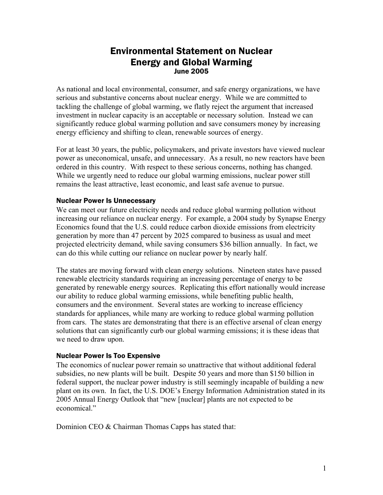# Environmental Statement on Nuclear Energy and Global Warming June 2005

As national and local environmental, consumer, and safe energy organizations, we have serious and substantive concerns about nuclear energy. While we are committed to tackling the challenge of global warming, we flatly reject the argument that increased investment in nuclear capacity is an acceptable or necessary solution. Instead we can significantly reduce global warming pollution and save consumers money by increasing energy efficiency and shifting to clean, renewable sources of energy.

For at least 30 years, the public, policymakers, and private investors have viewed nuclear power as uneconomical, unsafe, and unnecessary. As a result, no new reactors have been ordered in this country. With respect to these serious concerns, nothing has changed. While we urgently need to reduce our global warming emissions, nuclear power still remains the least attractive, least economic, and least safe avenue to pursue.

## Nuclear Power Is Unnecessary

We can meet our future electricity needs and reduce global warming pollution without increasing our reliance on nuclear energy. For example, a 2004 study by Synapse Energy Economics found that the U.S. could reduce carbon dioxide emissions from electricity generation by more than 47 percent by 2025 compared to business as usual and meet projected electricity demand, while saving consumers \$36 billion annually. In fact, we can do this while cutting our reliance on nuclear power by nearly half.

The states are moving forward with clean energy solutions. Nineteen states have passed renewable electricity standards requiring an increasing percentage of energy to be generated by renewable energy sources. Replicating this effort nationally would increase our ability to reduce global warming emissions, while benefiting public health, consumers and the environment. Several states are working to increase efficiency standards for appliances, while many are working to reduce global warming pollution from cars. The states are demonstrating that there is an effective arsenal of clean energy solutions that can significantly curb our global warming emissions; it is these ideas that we need to draw upon.

## Nuclear Power Is Too Expensive

The economics of nuclear power remain so unattractive that without additional federal subsidies, no new plants will be built. Despite 50 years and more than \$150 billion in federal support, the nuclear power industry is still seemingly incapable of building a new plant on its own. In fact, the U.S. DOE's Energy Information Administration stated in its 2005 Annual Energy Outlook that "new [nuclear] plants are not expected to be economical"

Dominion CEO & Chairman Thomas Capps has stated that: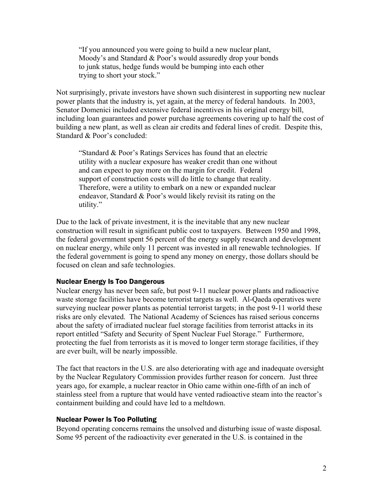"If you announced you were going to build a new nuclear plant, Moody's and Standard & Poor's would assuredly drop your bonds to junk status, hedge funds would be bumping into each other trying to short your stock."

Not surprisingly, private investors have shown such disinterest in supporting new nuclear power plants that the industry is, yet again, at the mercy of federal handouts. In 2003, Senator Domenici included extensive federal incentives in his original energy bill, including loan guarantees and power purchase agreements covering up to half the cost of building a new plant, as well as clean air credits and federal lines of credit. Despite this, Standard & Poor's concluded:

"Standard & Poor's Ratings Services has found that an electric utility with a nuclear exposure has weaker credit than one without and can expect to pay more on the margin for credit. Federal support of construction costs will do little to change that reality. Therefore, were a utility to embark on a new or expanded nuclear endeavor, Standard & Poor's would likely revisit its rating on the utility."

Due to the lack of private investment, it is the inevitable that any new nuclear construction will result in significant public cost to taxpayers. Between 1950 and 1998, the federal government spent 56 percent of the energy supply research and development on nuclear energy, while only 11 percent was invested in all renewable technologies. If the federal government is going to spend any money on energy, those dollars should be focused on clean and safe technologies.

## Nuclear Energy Is Too Dangerous

Nuclear energy has never been safe, but post 9-11 nuclear power plants and radioactive waste storage facilities have become terrorist targets as well. Al-Qaeda operatives were surveying nuclear power plants as potential terrorist targets; in the post 9-11 world these risks are only elevated. The National Academy of Sciences has raised serious concerns about the safety of irradiated nuclear fuel storage facilities from terrorist attacks in its report entitled "Safety and Security of Spent Nuclear Fuel Storage." Furthermore, protecting the fuel from terrorists as it is moved to longer term storage facilities, if they are ever built, will be nearly impossible.

The fact that reactors in the U.S. are also deteriorating with age and inadequate oversight by the Nuclear Regulatory Commission provides further reason for concern. Just three years ago, for example, a nuclear reactor in Ohio came within one-fifth of an inch of stainless steel from a rupture that would have vented radioactive steam into the reactor's containment building and could have led to a meltdown.

## Nuclear Power Is Too Polluting

Beyond operating concerns remains the unsolved and disturbing issue of waste disposal. Some 95 percent of the radioactivity ever generated in the U.S. is contained in the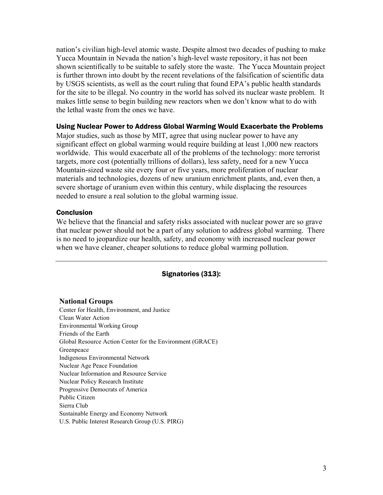nation's civilian high-level atomic waste. Despite almost two decades of pushing to make Yucca Mountain in Nevada the nation's high-level waste repository, it has not been shown scientifically to be suitable to safely store the waste. The Yucca Mountain project is further thrown into doubt by the recent revelations of the falsification of scientific data by USGS scientists, as well as the court ruling that found EPA's public health standards for the site to be illegal. No country in the world has solved its nuclear waste problem. It makes little sense to begin building new reactors when we don't know what to do with the lethal waste from the ones we have.

## Using Nuclear Power to Address Global Warming Would Exacerbate the Problems

Major studies, such as those by MIT, agree that using nuclear power to have any significant effect on global warming would require building at least 1,000 new reactors worldwide. This would exacerbate all of the problems of the technology: more terrorist targets, more cost (potentially trillions of dollars), less safety, need for a new Yucca Mountain-sized waste site every four or five years, more proliferation of nuclear materials and technologies, dozens of new uranium enrichment plants, and, even then, a severe shortage of uranium even within this century, while displacing the resources needed to ensure a real solution to the global warming issue.

## Conclusion

We believe that the financial and safety risks associated with nuclear power are so grave that nuclear power should not be a part of any solution to address global warming. There is no need to jeopardize our health, safety, and economy with increased nuclear power when we have cleaner, cheaper solutions to reduce global warming pollution.

## Signatories (313):

## **National Groups**

Center for Health, Environment, and Justice Clean Water Action Environmental Working Group Friends of the Earth Global Resource Action Center for the Environment (GRACE) Greenpeace Indigenous Environmental Network Nuclear Age Peace Foundation Nuclear Information and Resource Service Nuclear Policy Research Institute Progressive Democrats of America Public Citizen Sierra Club Sustainable Energy and Economy Network U.S. Public Interest Research Group (U.S. PIRG)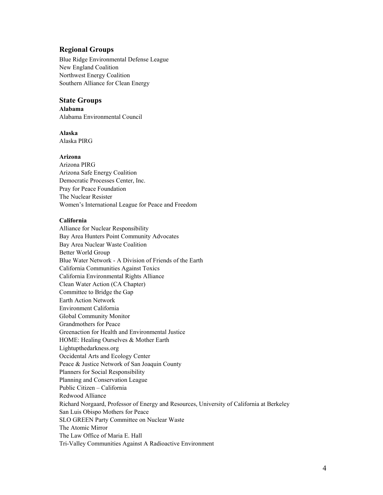## **Regional Groups**

Blue Ridge Environmental Defense League New England Coalition Northwest Energy Coalition Southern Alliance for Clean Energy

## **State Groups**

**Alabama**  Alabama Environmental Council

## **Alaska**

Alaska PIRG

#### **Arizona**

Arizona PIRG Arizona Safe Energy Coalition Democratic Processes Center, Inc. Pray for Peace Foundation The Nuclear Resister Women's International League for Peace and Freedom

#### **California**

Alliance for Nuclear Responsibility Bay Area Hunters Point Community Advocates Bay Area Nuclear Waste Coalition Better World Group Blue Water Network - A Division of Friends of the Earth California Communities Against Toxics California Environmental Rights Alliance Clean Water Action (CA Chapter) Committee to Bridge the Gap Earth Action Network Environment California Global Community Monitor Grandmothers for Peace Greenaction for Health and Environmental Justice HOME: Healing Ourselves & Mother Earth Lightupthedarkness.org Occidental Arts and Ecology Center Peace & Justice Network of San Joaquin County Planners for Social Responsibility Planning and Conservation League Public Citizen – California Redwood Alliance Richard Norgaard, Professor of Energy and Resources, University of California at Berkeley San Luis Obispo Mothers for Peace SLO GREEN Party Committee on Nuclear Waste The Atomic Mirror The Law Office of Maria E. Hall Tri-Valley Communities Against A Radioactive Environment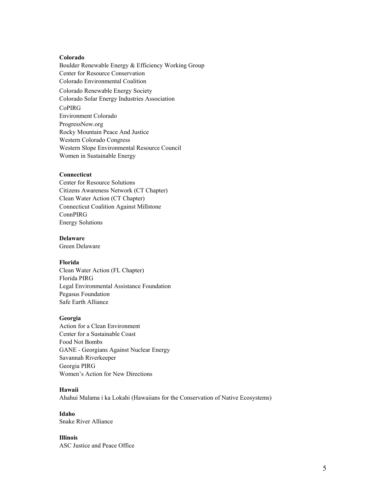#### **Colorado**

Boulder Renewable Energy & Efficiency Working Group Center for Resource Conservation Colorado Environmental Coalition Colorado Renewable Energy Society Colorado Solar Energy Industries Association CoPIRG Environment Colorado ProgressNow.org Rocky Mountain Peace And Justice Western Colorado Congress Western Slope Environmental Resource Council Women in Sustainable Energy

### **Connecticut**

Center for Resource Solutions Citizens Awareness Network (CT Chapter) Clean Water Action (CT Chapter) Connecticut Coalition Against Millstone ConnPIRG Energy Solutions

#### **Delaware**

Green Delaware

#### **Florida**

Clean Water Action (FL Chapter) Florida PIRG Legal Environmental Assistance Foundation Pegasus Foundation Safe Earth Alliance

#### **Georgia**

Action for a Clean Environment Center for a Sustainable Coast Food Not Bombs GANE - Georgians Against Nuclear Energy Savannah Riverkeeper Georgia PIRG Women's Action for New Directions

#### **Hawaii**

Ahahui Malama i ka Lokahi (Hawaiians for the Conservation of Native Ecosystems)

**Idaho**  Snake River Alliance

#### **Illinois**  ASC Justice and Peace Office

5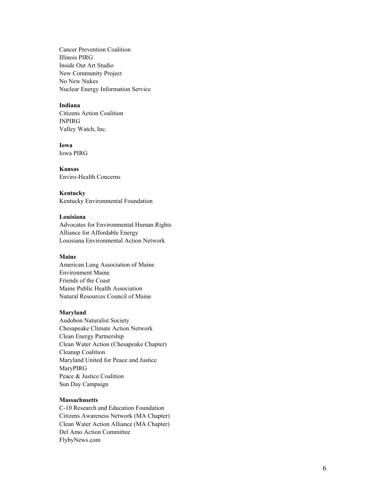Cancer Prevention Coalition Illinois PIRG Inside Out Art Studio New Community Project No New Nukes Nuclear Energy Information Service

#### **Indiana**

Citizens Action Coalition INPIRG Valley Watch, Inc.

**Iowa**  Iowa PIRG

**Kansas**  Enviro-Health Concerns

**Kentucky**  Kentucky Environmental Foundation

## **Louisiana**

Advocates for Environmental Human Rights Alliance for Affordable Energy Louisiana Environmental Action Network

### **Maine**

American Lung Association of Maine Environment Maine Friends of the Coast Maine Public Health Association Natural Resources Council of Maine

## **Maryland**

Audobon Naturalist Society Chesapeake Climate Action Network Clean Energy Partnership Clean Water Action (Chesapeake Chapter) Cleanup Coalition Maryland United for Peace and Justice MaryPIRG Peace & Justice Coalition Sun Day Campaign

## **Massachusetts**

C-10 Research and Education Foundation Citizens Awareness Network (MA Chapter) Clean Water Action Alliance (MA Chapter) Del Amo Action Committee FlybyNews.com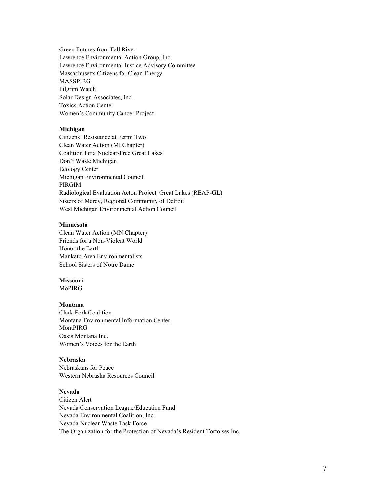Green Futures from Fall River Lawrence Environmental Action Group, Inc. Lawrence Environmental Justice Advisory Committee Massachusetts Citizens for Clean Energy MASSPIRG Pilgrim Watch Solar Design Associates, Inc. Toxics Action Center Women's Community Cancer Project

#### **Michigan**

Citizens' Resistance at Fermi Two Clean Water Action (MI Chapter) Coalition for a Nuclear-Free Great Lakes Don't Waste Michigan Ecology Center Michigan Environmental Council PIRGIM Radiological Evaluation Acton Project, Great Lakes (REAP-GL) Sisters of Mercy, Regional Community of Detroit West Michigan Environmental Action Council

## **Minnesota**

Clean Water Action (MN Chapter) Friends for a Non-Violent World Honor the Earth Mankato Area Environmentalists School Sisters of Notre Dame

## **Missouri**

MoPIRG

### **Montana**

Clark Fork Coalition Montana Environmental Information Center MontPIRG Oasis Montana Inc. Women's Voices for the Earth

#### **Nebraska**

Nebraskans for Peace Western Nebraska Resources Council

### **Nevada**

Citizen Alert Nevada Conservation League/Education Fund Nevada Environmental Coalition, Inc. Nevada Nuclear Waste Task Force The Organization for the Protection of Nevada's Resident Tortoises Inc.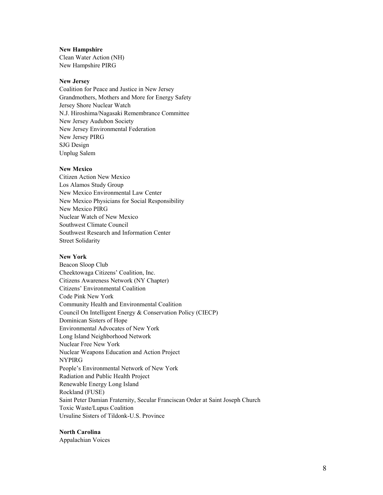#### **New Hampshire**

Clean Water Action (NH) New Hampshire PIRG

#### **New Jersey**

Coalition for Peace and Justice in New Jersey Grandmothers, Mothers and More for Energy Safety Jersey Shore Nuclear Watch N.J. Hiroshima/Nagasaki Remembrance Committee New Jersey Audubon Society New Jersey Environmental Federation New Jersey PIRG SJG Design Unplug Salem

### **New Mexico**

Citizen Action New Mexico Los Alamos Study Group New Mexico Environmental Law Center New Mexico Physicians for Social Responsibility New Mexico PIRG Nuclear Watch of New Mexico Southwest Climate Council Southwest Research and Information Center Street Solidarity

#### **New York**

Beacon Sloop Club Cheektowaga Citizens' Coalition, Inc. Citizens Awareness Network (NY Chapter) Citizens' Environmental Coalition Code Pink New York Community Health and Environmental Coalition Council On Intelligent Energy & Conservation Policy (CIECP) Dominican Sisters of Hope Environmental Advocates of New York Long Island Neighborhood Network Nuclear Free New York Nuclear Weapons Education and Action Project NYPIRG People's Environmental Network of New York Radiation and Public Health Project Renewable Energy Long Island Rockland (FUSE) Saint Peter Damian Fraternity, Secular Franciscan Order at Saint Joseph Church Toxic Waste/Lupus Coalition Ursuline Sisters of Tildonk-U.S. Province

**North Carolina**  Appalachian Voices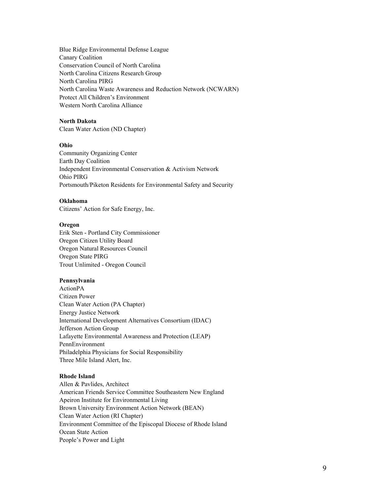Blue Ridge Environmental Defense League Canary Coalition Conservation Council of North Carolina North Carolina Citizens Research Group North Carolina PIRG North Carolina Waste Awareness and Reduction Network (NCWARN) Protect All Children's Environment Western North Carolina Alliance

## **North Dakota**

Clean Water Action (ND Chapter)

#### **Ohio**

Community Organizing Center Earth Day Coalition Independent Environmental Conservation & Activism Network Ohio PIRG Portsmouth/Piketon Residents for Environmental Safety and Security

#### **Oklahoma**

Citizens' Action for Safe Energy, Inc.

#### **Oregon**

Erik Sten - Portland City Commissioner Oregon Citizen Utility Board Oregon Natural Resources Council Oregon State PIRG Trout Unlimited - Oregon Council

#### **Pennsylvania**

ActionPA Citizen Power Clean Water Action (PA Chapter) Energy Justice Network International Development Alternatives Consortium (IDAC) Jefferson Action Group Lafayette Environmental Awareness and Protection (LEAP) PennEnvironment Philadelphia Physicians for Social Responsibility Three Mile Island Alert, Inc.

#### **Rhode Island**

Allen & Pavlides, Architect American Friends Service Committee Southeastern New England Apeiron Institute for Environmental Living Brown University Environment Action Network (BEAN) Clean Water Action (RI Chapter) Environment Committee of the Episcopal Diocese of Rhode Island Ocean State Action People's Power and Light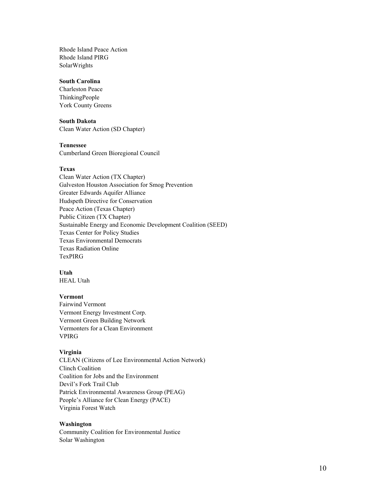Rhode Island Peace Action Rhode Island PIRG SolarWrights

## **South Carolina**

Charleston Peace ThinkingPeople York County Greens

#### **South Dakota**

Clean Water Action (SD Chapter)

#### **Tennessee**

Cumberland Green Bioregional Council

#### **Texas**

Clean Water Action (TX Chapter) Galveston Houston Association for Smog Prevention Greater Edwards Aquifer Alliance Hudspeth Directive for Conservation Peace Action (Texas Chapter) Public Citizen (TX Chapter) Sustainable Energy and Economic Development Coalition (SEED) Texas Center for Policy Studies Texas Environmental Democrats Texas Radiation Online TexPIRG

## **Utah**

HEAL Utah

## **Vermont**

Fairwind Vermont Vermont Energy Investment Corp. Vermont Green Building Network Vermonters for a Clean Environment VPIRG

#### **Virginia**

CLEAN (Citizens of Lee Environmental Action Network) Clinch Coalition Coalition for Jobs and the Environment Devil's Fork Trail Club Patrick Environmental Awareness Group (PEAG) People's Alliance for Clean Energy (PACE) Virginia Forest Watch

#### **Washington**

Community Coalition for Environmental Justice Solar Washington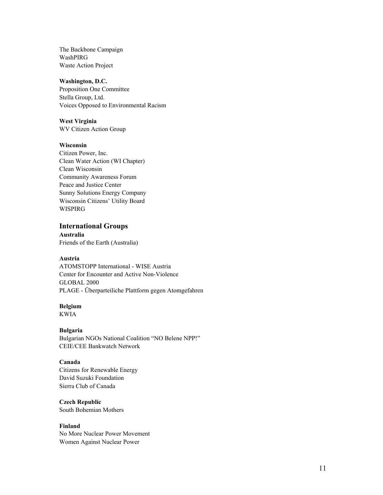The Backbone Campaign WashPIRG Waste Action Project

### **Washington, D.C.**

Proposition One Committee Stella Group, Ltd. Voices Opposed to Environmental Racism

## **West Virginia**

WV Citizen Action Group

## **Wisconsin**

Citizen Power, Inc. Clean Water Action (WI Chapter) Clean Wisconsin Community Awareness Forum Peace and Justice Center Sunny Solutions Energy Company Wisconsin Citizens' Utility Board WISPIRG

## **International Groups**

**Australia**  Friends of the Earth (Australia)

## **Austria**

ATOMSTOPP International - WISE Austria Center for Encounter and Active Non-Violence GLOBAL 2000 PLAGE - Überparteiliche Plattform gegen Atomgefahren

## **Belgium**

KWIA

### **Bulgaria**

Bulgarian NGOs National Coalition "NO Belene NPP!" CEIE/CEE Bankwatch Network

## **Canada**

Citizens for Renewable Energy David Suzuki Foundation Sierra Club of Canada

**Czech Republic**  South Bohemian Mothers

# **Finland**

No More Nuclear Power Movement Women Against Nuclear Power